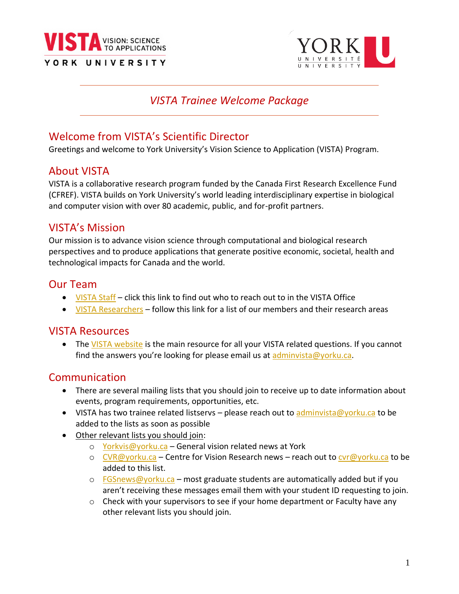



## *VISTA Trainee Welcome Package*

# Welcome from VISTA's Scientific Director

Greetings and welcome to York University's Vision Science to Application (VISTA) Program.

## About VISTA

VISTA is a collaborative research program funded by the Canada First Research Excellence Fund (CFREF). VISTA builds on York University's world leading interdisciplinary expertise in biological and computer vision with over 80 academic, public, and for-profit partners.

# VISTA's Mission

Our mission is to advance vision science through computational and biological research perspectives and to produce applications that generate positive economic, societal, health and technological impacts for Canada and the world.

## Our Team

- [VISTA Staff](https://vista.info.yorku.ca/about-vista/staff/) click this link to find out who to reach out to in the VISTA Office
- [VISTA Researchers](https://vista.info.yorku.ca/researchers/core-members/) follow this link for a list of our members and their research areas

## VISTA Resources

• Th[e VISTA website](https://vista.info.yorku.ca/) is the main resource for all your VISTA related questions. If you cannot find the answers you're looking for please email us at [adminvista@yorku.ca.](mailto:adminvista@yorku.ca)

## Communication

- There are several mailing lists that you should join to receive up to date information about events, program requirements, opportunities, etc.
- VISTA has two trainee related listservs please reach out to [adminvista@yorku.ca](mailto:adminvista@yorku.ca) to be added to the lists as soon as possible
- Other relevant lists you should join:
	- o [Yorkvis@yorku.ca](mailto:Yorkvis@yorku.ca) General vision related news at York
	- o [CVR@yorku.ca](mailto:CVR@yorku.ca) Centre for Vision Research news reach out to [cvr@yorku.ca](mailto:cvr@yorku.ca) to be added to this list.
	- $\circ$  [FGSnews@yorku.ca](mailto:FGSnews@yorku.ca) most graduate students are automatically added but if you aren't receiving these messages email them with your student ID requesting to join.
	- $\circ$  Check with your supervisors to see if your home department or Faculty have any other relevant lists you should join.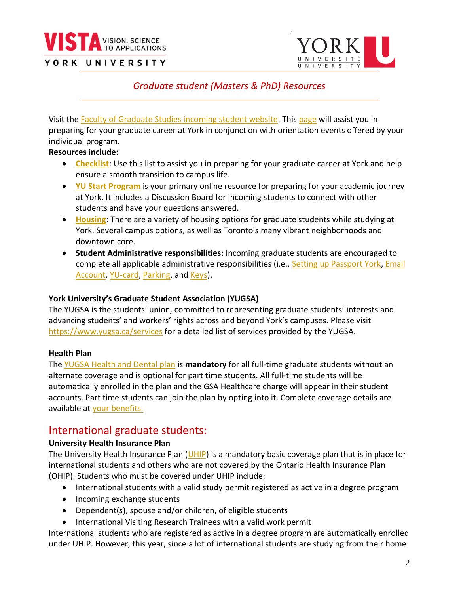



## *Graduate student (Masters & PhD) Resources*

 $\overline{a}$ 

Visit the [Faculty of Graduate Studies incoming student website.](https://gradstudies.yorku.ca/incoming-students%20/) This [page](https://www.yorku.ca/gradstudies/students/youve-been-admitted/) will assist you in preparing for your graduate career at York in conjunction with orientation events offered by your individual program.

#### **Resources include:**

- **[Checklist](https://gradstudies.yorku.ca/incoming-students/checklist/)**: Use this list to assist you in preparing for your graduate career at York and help ensure a smooth transition to campus life.
- **[YU Start Program](https://www.yorku.ca/yustart/)** is your primary online resource for preparing for your academic journey at York. It includes a Discussion Board for incoming students to connect with other students and have your questions answered.
- **[Housing](https://www.yorku.ca/housing/graduate-housing-york-apartments/)**: There are a variety of housing options for graduate students while studying at York. Several campus options, as well as Toronto's many vibrant neighborhoods and downtown core.
- **Student Administrative responsibilities**: Incoming graduate students are encouraged to complete all applicable administrative responsibilities (i.e., [Setting up Passport York,](https://www.yorku.ca/uit/faculty-staff-services/passwords-passport-york-access/) [Email](https://www.yorku.ca/uit/student-services/email/)  [Account,](https://www.yorku.ca/uit/student-services/email/) [YU-card,](https://www.yorku.ca/yucard/) [Parking,](https://www.yorku.ca/parking/) and [Keys\)](https://www.yorku.ca/facilities/our-services/property-management/22401-work-control-centre/key-request/).

#### **York University's Graduate Student Association (YUGSA)**

The YUGSA is the students' union, committed to representing graduate students' interests and advancing students' and workers' rights across and beyond York's campuses. Please visit <https://www.yugsa.ca/services> for a detailed list of services provided by the YUGSA.

## **Health Plan**

Th[e YUGSA Health and Dental plan](https://www.yugsa.ca/health-plan) is **mandatory** for all full-time graduate students without an alternate coverage and is optional for part time students. All full-time students will be automatically enrolled in the plan and the GSA Healthcare charge will appear in their student accounts. Part time students can join the plan by opting into it. Complete coverage details are available at [your benefits.](https://wespeakstudent.com/home/63-york-univ-graduate-students-)

## International graduate students:

#### **University Health Insurance Plan**

The University Health Insurance Plan [\(UHIP\)](https://yorkinternational.yorku.ca/uhip/) is a mandatory basic coverage plan that is in place for international students and others who are not covered by the Ontario Health Insurance Plan (OHIP). Students who must be covered under UHIP include:

- International students with a valid study permit registered as active in a degree program
- Incoming exchange students
- Dependent(s), spouse and/or children, of eligible students
- International Visiting Research Trainees with a valid work permit

International students who are registered as active in a degree program are automatically enrolled under UHIP. However, this year, since a lot of international students are studying from their home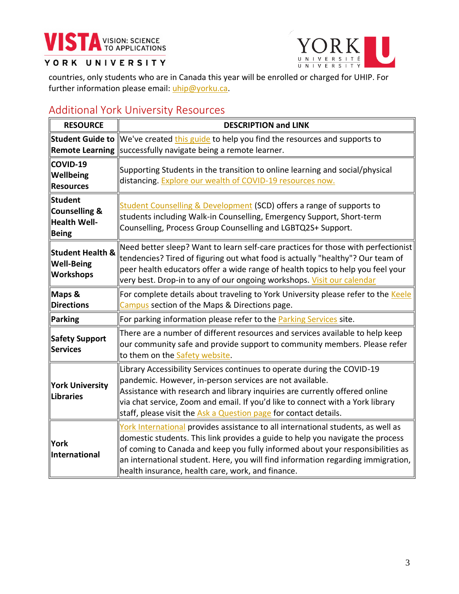



countries, only students who are in Canada this year will be enrolled or charged for UHIP. For further information please email: [uhip@yorku.ca.](mailto:uhip@yorku.ca)

# <span id="page-2-0"></span>Additional York University Resources

| <b>RESOURCE</b>                                                                   | <b>DESCRIPTION and LINK</b>                                                                                                                                                                                                                                                                                                                                                                   |  |
|-----------------------------------------------------------------------------------|-----------------------------------------------------------------------------------------------------------------------------------------------------------------------------------------------------------------------------------------------------------------------------------------------------------------------------------------------------------------------------------------------|--|
|                                                                                   | Student Guide to We've created this guide to help you find the resources and supports to<br>Remote Learning   successfully navigate being a remote learner.                                                                                                                                                                                                                                   |  |
| COVID-19<br>Wellbeing<br><b>Resources</b>                                         | Supporting Students in the transition to online learning and social/physical<br>distancing. Explore our wealth of COVID-19 resources now.                                                                                                                                                                                                                                                     |  |
| <b>Student</b><br><b>Counselling &amp;</b><br><b>Health Well-</b><br><b>Being</b> | <b>Student Counselling &amp; Development (SCD) offers a range of supports to</b><br>students including Walk-in Counselling, Emergency Support, Short-term<br>Counselling, Process Group Counselling and LGBTQ2S+ Support.                                                                                                                                                                     |  |
| <b>Student Health &amp;</b><br><b>Well-Being</b><br><b>Workshops</b>              | Need better sleep? Want to learn self-care practices for those with perfectionist<br>tendencies? Tired of figuring out what food is actually "healthy"? Our team of<br>peer health educators offer a wide range of health topics to help you feel your<br>very best. Drop-in to any of our ongoing workshops. Visit our calendar                                                              |  |
| Maps &<br><b>Directions</b>                                                       | For complete details about traveling to York University please refer to the Keele<br>Campus section of the Maps & Directions page.                                                                                                                                                                                                                                                            |  |
| Parking                                                                           | For parking information please refer to the <b>Parking Services</b> site.                                                                                                                                                                                                                                                                                                                     |  |
| <b>Safety Support</b><br><b>Services</b>                                          | There are a number of different resources and services available to help keep<br>our community safe and provide support to community members. Please refer<br>to them on the Safety website.                                                                                                                                                                                                  |  |
| <b>York University</b><br>Libraries                                               | Library Accessibility Services continues to operate during the COVID-19<br>pandemic. However, in-person services are not available.<br>Assistance with research and library inquiries are currently offered online<br>via chat service, Zoom and email. If you'd like to connect with a York library<br>staff, please visit the Ask a Question page for contact details.                      |  |
| <b>York</b><br>International                                                      | York International provides assistance to all international students, as well as<br>domestic students. This link provides a guide to help you navigate the process<br>of coming to Canada and keep you fully informed about your responsibilities as<br>an international student. Here, you will find information regarding immigration,<br>health insurance, health care, work, and finance. |  |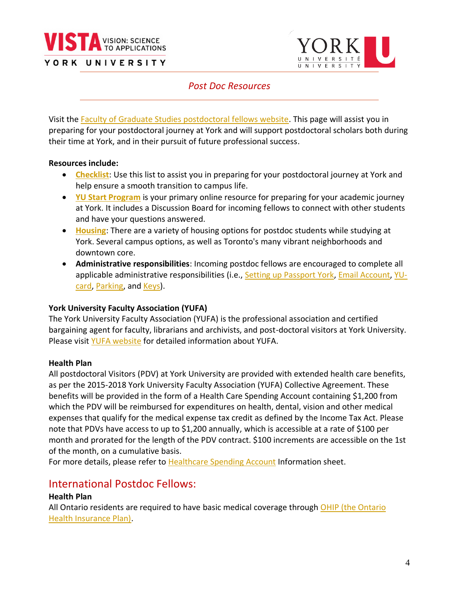



## *Post Doc Resources*

Visit the [Faculty of Graduate Studies postdoctoral fellows website.](https://www.yorku.ca/gradstudies/postdoctoral-fellows/) This page will assist you in preparing for your postdoctoral journey at York and will support postdoctoral scholars both during their time at York, and in their pursuit of future professional success.

#### **Resources include:**

- **[Checklist](https://www.yorku.ca/gradstudies/postdoctoral-fellows/incoming-fellows/)**: Use this list to assist you in preparing for your postdoctoral journey at York and help ensure a smooth transition to campus life.
- **[YU Start Program](https://www.yorku.ca/yustart/)** is your primary online resource for preparing for your academic journey at York. It includes a Discussion Board for incoming fellows to connect with other students and have your questions answered.
- **[Housing](https://www.yorku.ca/housing/graduate-housing-york-apartments/)**: There are a variety of housing options for postdoc students while studying at York. Several campus options, as well as Toronto's many vibrant neighborhoods and downtown core.
- **Administrative responsibilities**: Incoming postdoc fellows are encouraged to complete all applicable administrative responsibilities (i.e., [Setting up Passport York,](https://www.yorku.ca/uit/faculty-staff-services/passwords-passport-york-access/) [Email Account,](https://www.yorku.ca/uit/student-services/email/) [YU](https://www.yorku.ca/yucard/)[card,](https://www.yorku.ca/yucard/) [Parking,](https://www.yorku.ca/parking/) and [Keys\)](https://www.yorku.ca/facilities/our-services/property-management/22401-work-control-centre/key-request/).

#### **York University Faculty Association (YUFA)**

The York University Faculty Association (YUFA) is the professional association and certified bargaining agent for faculty, librarians and archivists, and post-doctoral visitors at York University. Please visit YUFA [website](https://www.yufa.ca/about) for detailed information about YUFA.

## **Health Plan**

All postdoctoral Visitors (PDV) at York University are provided with extended health care benefits, as per the 2015-2018 York University Faculty Association (YUFA) Collective Agreement. These benefits will be provided in the form of a Health Care Spending Account containing \$1,200 from which the PDV will be reimbursed for expenditures on health, dental, vision and other medical expenses that qualify for the medical expense tax credit as defined by the Income Tax Act. Please note that PDVs have access to up to \$1,200 annually, which is accessible at a rate of \$100 per month and prorated for the length of the PDV contract. \$100 increments are accessible on the 1st of the month, on a cumulative basis.

For more details, please refer to [Healthcare Spending Account](https://gradstudies.yorku.ca/files/2016/06/pdv-health-care-spending-account-information-sheet.pdf?x67790) Information sheet.

## International Postdoc Fellows:

## **Health Plan**

All Ontario residents are required to have basic medical coverage through OHIP (the Ontario [Health Insurance Plan\).](https://www.ontario.ca/page/apply-ohip-and-get-health-card)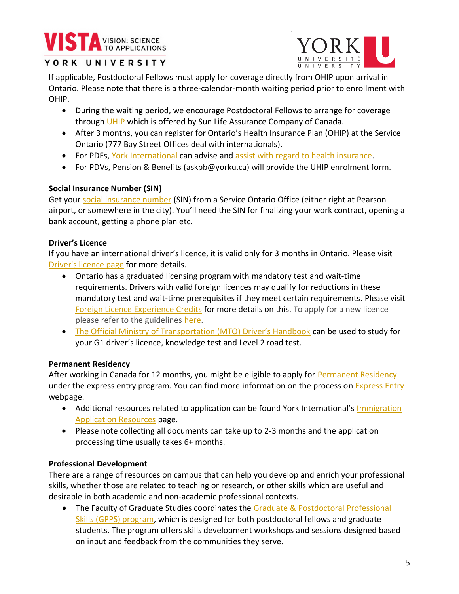# **VISTA** VISION: SCIENCE



## YORK UNIVERSITY

If applicable, Postdoctoral Fellows must apply for coverage directly from OHIP upon arrival in Ontario. Please note that there is a three-calendar-month waiting period prior to enrollment with OHIP.

- During the waiting period, we encourage Postdoctoral Fellows to arrange for coverage through [UHIP](https://uhip.ca/Home/Index) which is offered by Sun Life Assurance Company of Canada.
- After 3 months, you can register for Ontario's Health Insurance Plan (OHIP) at the Service Ontario (777 Bay Street Offices deal with internationals).
- For PDFs[, York International](https://yorkinternational.yorku.ca/) can advise and [assist with regard to health insurance.](https://yorkinternational.yorku.ca/uhip/)
- For PDVs, Pension & Benefits (askpb@yorku.ca) will provide the UHIP enrolment form.

## **Social Insurance Number (SIN)**

Get your [social insurance number](https://www.canada.ca/en/employment-social-development/services/sin.html) (SIN) from a Service Ontario Office (either right at Pearson airport, or somewhere in the city). You'll need the SIN for finalizing your work contract, opening a bank account, getting a phone plan etc.

## **Driver's Licence**

If you have an international driver's licence, it is valid only for 3 months in Ontario. Please visit [Driver's licence page](https://www.ontario.ca/page/drive-ontario-visitors) for more details.

- Ontario has a graduated licensing program with mandatory test and wait-time requirements. Drivers with valid foreign licences may qualify for reductions in these mandatory test and wait-time prerequisites if they meet certain requirements. Please visit [Foreign Licence Experience Credits](https://drivetest.ca/licences/licence-exchanges/foreign-licence-experience-credits.html) for more details on this. To apply for a new licence please refer to the guidelines [here.](https://www.ontario.ca/page/get-g-drivers-licence-new-drivers)
- [The Official Ministry of Transportation \(MTO\) Driver's Handbook](https://www.ontario.ca/document/official-mto-drivers-handbook) can be used to study for your G1 driver's licence, knowledge test and Level 2 road test.

## **Permanent Residency**

After working in Canada for 12 months, you might be eligible to apply for [Permanent Residency](https://yorkinternational.yorku.ca/permanent-residence-in-canada/) under the express entry program. You can find more information on the process o[n Express Entry](https://www.canada.ca/en/immigration-refugees-citizenship/services/immigrate-canada/express-entry.html) webpage.

- Additional resources related to application can be found York International's Immigration [Application Resources](https://yorkinternational.yorku.ca/immigration-application-resources/) page.
- Please note collecting all documents can take up to 2-3 months and the application processing time usually takes 6+ months.

## **Professional Development**

There are a range of resources on campus that can help you develop and enrich your professional skills, whether those are related to teaching or research, or other skills which are useful and desirable in both academic and non-academic professional contexts.

• The Faculty of Graduate Studies coordinates the Graduate & Postdoctoral Professional [Skills \(GPPS\) program,](https://www.yorku.ca/gradstudies/gpps/) which is designed for both postdoctoral fellows and graduate students. The program offers skills development workshops and sessions designed based on input and feedback from the communities they serve.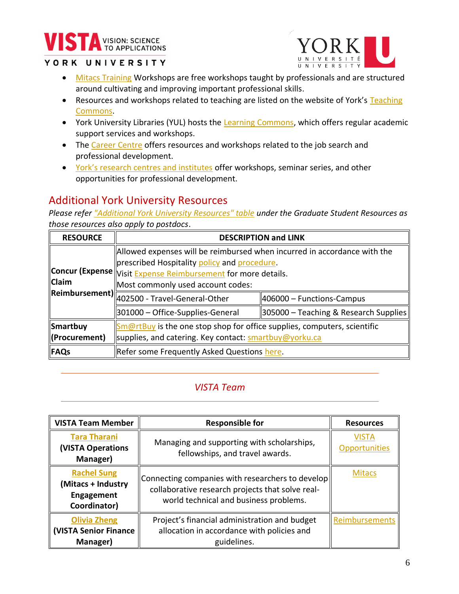# VISION: SCIENCE

## YORK UNIVERSITY



- [Mitacs Training](https://www.mitacs.ca/en/programs/training/program-details) Workshops are free workshops taught by professionals and are structured around cultivating and improving important professional skills.
- Resources and workshops related to teaching are listed on the website of York's Teaching [Commons.](https://www.yorku.ca/teachingcommons/)
- York University Libraries (YUL) hosts the [Learning Commons,](https://learningcommons.yorku.ca/) which offers regular academic support services and workshops.
- Th[e Career Centre](https://careers.yorku.ca/) offers resources and workshops related to the job search and professional development.
- [York's research centres and institutes](https://www.yorku.ca/research/organized-research-units/) offer workshops, seminar series, and other opportunities for professional development.

# Additional York University Resources

*Please refer ["Additional York University Resources" table](#page-2-0) under the Graduate Student Resources as those resources also apply to postdocs*.

| <b>RESOURCE</b> | <b>DESCRIPTION and LINK</b>                                                                 |                                       |  |
|-----------------|---------------------------------------------------------------------------------------------|---------------------------------------|--|
|                 | Allowed expenses will be reimbursed when incurred in accordance with the                    |                                       |  |
|                 | prescribed Hospitality policy and procedure.                                                |                                       |  |
|                 | <b>Concur (Expense</b> Visit Expense Reimbursement for more details.                        |                                       |  |
| <b>Claim</b>    | Most commonly used account codes:                                                           |                                       |  |
|                 | $\ $ Reimbursement) $\ $ 402500 - Travel-General-Other                                      | 406000 - Functions-Campus             |  |
|                 | 301000 – Office-Supplies-General                                                            | 305000 – Teaching & Research Supplies |  |
| Smartbuy        | $\frac{Sm@rtBuy}{Sm@rtBuy}$ is the one stop shop for office supplies, computers, scientific |                                       |  |
| (Procurement)   | supplies, and catering. Key contact: smartbuy@yorku.ca                                      |                                       |  |
| FAQs            | Refer some Frequently Asked Questions here.                                                 |                                       |  |

# *VISTA Team*

| <b>VISTA Team Member</b>                                               | <b>Responsible for</b>                                                                                                                         | <b>Resources</b>       |
|------------------------------------------------------------------------|------------------------------------------------------------------------------------------------------------------------------------------------|------------------------|
| <b>Tara Tharani</b><br><b>(VISTA Operations</b><br>Manager)            | Managing and supporting with scholarships,<br>fellowships, and travel awards.                                                                  | VISTA<br>Opportunities |
| <b>Rachel Sung</b><br>(Mitacs + Industry<br>Engagement<br>Coordinator) | Connecting companies with researchers to develop<br>collaborative research projects that solve real-<br>world technical and business problems. | <b>Mitacs</b>          |
| <b>Olivia Zheng</b><br>   (VISTA Senior Finance<br>Manager)            | Project's financial administration and budget<br>allocation in accordance with policies and<br>guidelines.                                     | Reimbursements         |